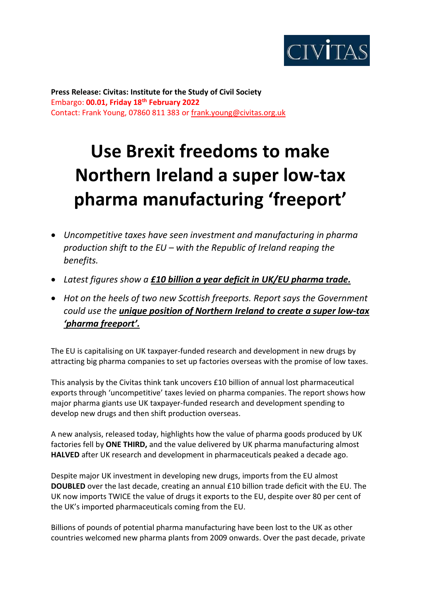

**Press Release: Civitas: Institute for the Study of Civil Society**  Embargo: **00.01, Friday 18th February 2022** Contact: Frank Young, 07860 811 383 or [frank.young@civitas.org.uk](mailto:frank.young@civitas.org.uk)

## **Use Brexit freedoms to make Northern Ireland a super low-tax pharma manufacturing 'freeport'**

- *Uncompetitive taxes have seen investment and manufacturing in pharma production shift to the EU – with the Republic of Ireland reaping the benefits.*
- *Latest figures show a £10 billion a year deficit in UK/EU pharma trade.*
- *Hot on the heels of two new Scottish freeports. Report says the Government could use the unique position of Northern Ireland to create a super low-tax 'pharma freeport'.*

The EU is capitalising on UK taxpayer-funded research and development in new drugs by attracting big pharma companies to set up factories overseas with the promise of low taxes.

This analysis by the Civitas think tank uncovers £10 billion of annual lost pharmaceutical exports through 'uncompetitive' taxes levied on pharma companies. The report shows how major pharma giants use UK taxpayer-funded research and development spending to develop new drugs and then shift production overseas.

A new analysis, released today, highlights how the value of pharma goods produced by UK factories fell by **ONE THIRD,** and the value delivered by UK pharma manufacturing almost **HALVED** after UK research and development in pharmaceuticals peaked a decade ago.

Despite major UK investment in developing new drugs, imports from the EU almost **DOUBLED** over the last decade, creating an annual £10 billion trade deficit with the EU. The UK now imports TWICE the value of drugs it exports to the EU, despite over 80 per cent of the UK's imported pharmaceuticals coming from the EU.

Billions of pounds of potential pharma manufacturing have been lost to the UK as other countries welcomed new pharma plants from 2009 onwards. Over the past decade, private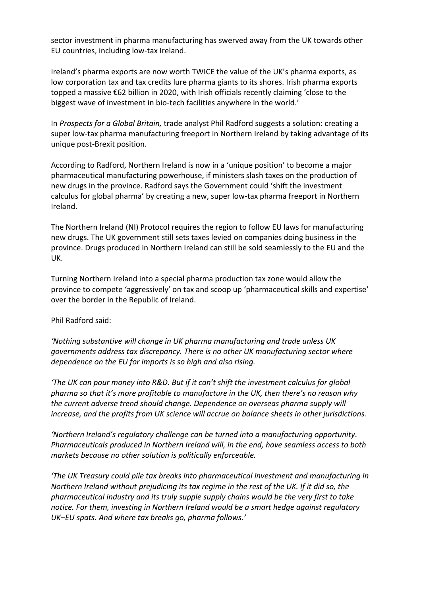sector investment in pharma manufacturing has swerved away from the UK towards other EU countries, including low-tax Ireland.

Ireland's pharma exports are now worth TWICE the value of the UK's pharma exports, as low corporation tax and tax credits lure pharma giants to its shores. Irish pharma exports topped a massive €62 billion in 2020, with Irish officials recently claiming 'close to the biggest wave of investment in bio-tech facilities anywhere in the world.'

In *Prospects for a Global Britain,* trade analyst Phil Radford suggests a solution: creating a super low-tax pharma manufacturing freeport in Northern Ireland by taking advantage of its unique post-Brexit position.

According to Radford, Northern Ireland is now in a 'unique position' to become a major pharmaceutical manufacturing powerhouse, if ministers slash taxes on the production of new drugs in the province. Radford says the Government could 'shift the investment calculus for global pharma' by creating a new, super low-tax pharma freeport in Northern Ireland.

The Northern Ireland (NI) Protocol requires the region to follow EU laws for manufacturing new drugs. The UK government still sets taxes levied on companies doing business in the province. Drugs produced in Northern Ireland can still be sold seamlessly to the EU and the UK.

Turning Northern Ireland into a special pharma production tax zone would allow the province to compete 'aggressively' on tax and scoop up 'pharmaceutical skills and expertise' over the border in the Republic of Ireland.

Phil Radford said:

*'Nothing substantive will change in UK pharma manufacturing and trade unless UK governments address tax discrepancy. There is no other UK manufacturing sector where dependence on the EU for imports is so high and also rising.*

*'The UK can pour money into R&D. But if it can't shift the investment calculus for global pharma so that it's more profitable to manufacture in the UK, then there's no reason why the current adverse trend should change. Dependence on overseas pharma supply will increase, and the profits from UK science will accrue on balance sheets in other jurisdictions.*

*'Northern Ireland's regulatory challenge can be turned into a manufacturing opportunity. Pharmaceuticals produced in Northern Ireland will, in the end, have seamless access to both markets because no other solution is politically enforceable.* 

*'The UK Treasury could pile tax breaks into pharmaceutical investment and manufacturing in Northern Ireland without prejudicing its tax regime in the rest of the UK. If it did so, the pharmaceutical industry and its truly supple supply chains would be the very first to take notice. For them, investing in Northern Ireland would be a smart hedge against regulatory UK–EU spats. And where tax breaks go, pharma follows.'*